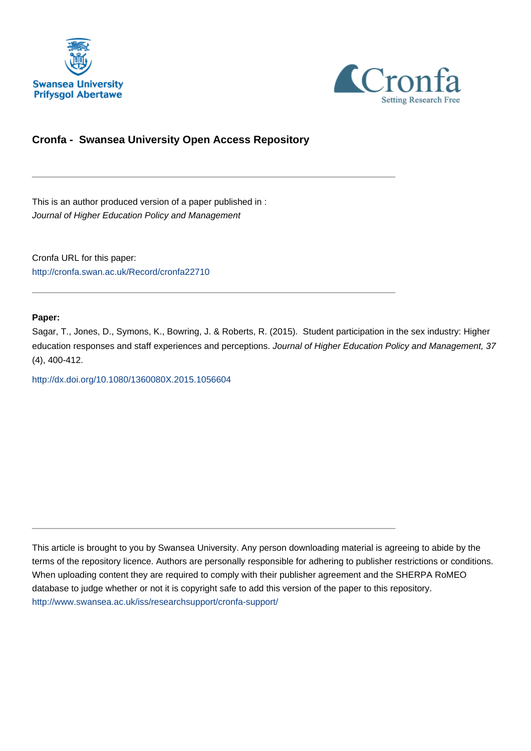



# **Cronfa - Swansea University Open Access Repository**

\_\_\_\_\_\_\_\_\_\_\_\_\_\_\_\_\_\_\_\_\_\_\_\_\_\_\_\_\_\_\_\_\_\_\_\_\_\_\_\_\_\_\_\_\_\_\_\_\_\_\_\_\_\_\_\_\_\_\_\_\_

 $\_$  , and the set of the set of the set of the set of the set of the set of the set of the set of the set of the set of the set of the set of the set of the set of the set of the set of the set of the set of the set of th

\_\_\_\_\_\_\_\_\_\_\_\_\_\_\_\_\_\_\_\_\_\_\_\_\_\_\_\_\_\_\_\_\_\_\_\_\_\_\_\_\_\_\_\_\_\_\_\_\_\_\_\_\_\_\_\_\_\_\_\_\_

This is an author produced version of a paper published in : Journal of Higher Education Policy and Management

Cronfa URL for this paper: <http://cronfa.swan.ac.uk/Record/cronfa22710>

#### **Paper:**

Sagar, T., Jones, D., Symons, K., Bowring, J. & Roberts, R. (2015). Student participation in the sex industry: Higher education responses and staff experiences and perceptions. Journal of Higher Education Policy and Management, 37 (4), 400-412.

<http://dx.doi.org/10.1080/1360080X.2015.1056604>

This article is brought to you by Swansea University. Any person downloading material is agreeing to abide by the terms of the repository licence. Authors are personally responsible for adhering to publisher restrictions or conditions. When uploading content they are required to comply with their publisher agreement and the SHERPA RoMEO database to judge whether or not it is copyright safe to add this version of the paper to this repository. [http://www.swansea.ac.uk/iss/researchsupport/cronfa-support/](http://www.swansea.ac.uk/iss/researchsupport/cronfa-support/ )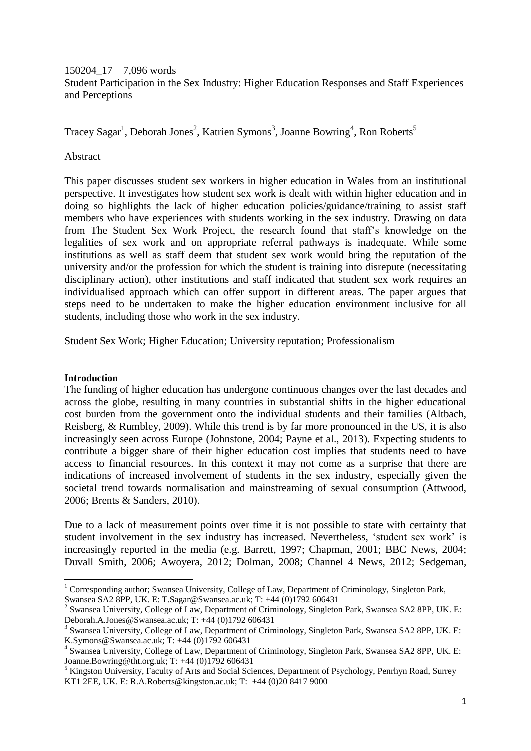150204\_17 7,096 words Student Participation in the Sex Industry: Higher Education Responses and Staff Experiences and Perceptions

Tracey Sagar<sup>1</sup>, Deborah Jones<sup>2</sup>, Katrien Symons<sup>3</sup>, Joanne Bowring<sup>4</sup>, Ron Roberts<sup>5</sup>

Abstract

This paper discusses student sex workers in higher education in Wales from an institutional perspective. It investigates how student sex work is dealt with within higher education and in doing so highlights the lack of higher education policies/guidance/training to assist staff members who have experiences with students working in the sex industry. Drawing on data from The Student Sex Work Project, the research found that staff's knowledge on the legalities of sex work and on appropriate referral pathways is inadequate. While some institutions as well as staff deem that student sex work would bring the reputation of the university and/or the profession for which the student is training into disrepute (necessitating disciplinary action), other institutions and staff indicated that student sex work requires an individualised approach which can offer support in different areas. The paper argues that steps need to be undertaken to make the higher education environment inclusive for all students, including those who work in the sex industry.

Student Sex Work; Higher Education; University reputation; Professionalism

#### **Introduction**

**.** 

The funding of higher education has undergone continuous changes over the last decades and across the globe, resulting in many countries in substantial shifts in the higher educational cost burden from the government onto the individual students and their families (Altbach, Reisberg, & Rumbley, 2009). While this trend is by far more pronounced in the US, it is also increasingly seen across Europe (Johnstone, 2004; Payne et al., 2013). Expecting students to contribute a bigger share of their higher education cost implies that students need to have access to financial resources. In this context it may not come as a surprise that there are indications of increased involvement of students in the sex industry, especially given the societal trend towards normalisation and mainstreaming of sexual consumption (Attwood, 2006; Brents & Sanders, 2010).

Due to a lack of measurement points over time it is not possible to state with certainty that student involvement in the sex industry has increased. Nevertheless, 'student sex work' is increasingly reported in the media (e.g. Barrett, 1997; Chapman, 2001; BBC News, 2004; Duvall Smith, 2006; Awoyera, 2012; Dolman, 2008; Channel 4 News, 2012; Sedgeman,

<sup>&</sup>lt;sup>1</sup> Corresponding author; Swansea University, College of Law, Department of Criminology, Singleton Park, Swansea SA2 8PP, UK. E: T.Sagar@Swansea.ac.uk; T: +44 (0)1792 606431

<sup>&</sup>lt;sup>2</sup> Swansea University, College of Law, Department of Criminology, Singleton Park, Swansea SA2 8PP, UK. E: Deborah.A.Jones@Swansea.ac.uk; T: +44 (0)1792 606431

<sup>&</sup>lt;sup>3</sup> Swansea University, College of Law, Department of Criminology, Singleton Park, Swansea SA2 8PP, UK. E: K.Symons@Swansea.ac.uk; T: +44 (0)1792 606431

<sup>4</sup> Swansea University, College of Law, Department of Criminology, Singleton Park, Swansea SA2 8PP, UK. E: Joanne.Bowring@tht.org.uk; T: +44 (0)1792 606431

<sup>&</sup>lt;sup>5</sup> Kingston University, Faculty of Arts and Social Sciences, Department of Psychology, Penrhyn Road, Surrey KT1 2EE, UK. E: R.A.Roberts@kingston.ac.uk; T: +44 (0)20 8417 9000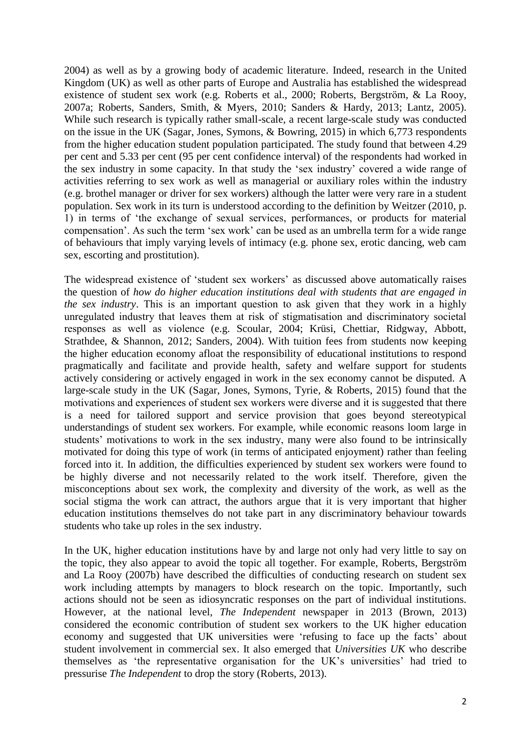2004) as well as by a growing body of academic literature. Indeed, research in the United Kingdom (UK) as well as other parts of Europe and Australia has established the widespread existence of student sex work (e.g. Roberts et al., 2000; Roberts, Bergström, & La Rooy, 2007a; Roberts, Sanders, Smith, & Myers, 2010; Sanders & Hardy, 2013; Lantz, 2005). While such research is typically rather small-scale, a recent large-scale study was conducted on the issue in the UK (Sagar, Jones, Symons, & Bowring, 2015) in which 6,773 respondents from the higher education student population participated. The study found that between 4.29 per cent and 5.33 per cent (95 per cent confidence interval) of the respondents had worked in the sex industry in some capacity. In that study the 'sex industry' covered a wide range of activities referring to sex work as well as managerial or auxiliary roles within the industry (e.g. brothel manager or driver for sex workers) although the latter were very rare in a student population. Sex work in its turn is understood according to the definition by Weitzer (2010, p. 1) in terms of 'the exchange of sexual services, performances, or products for material compensation'. As such the term 'sex work' can be used as an umbrella term for a wide range of behaviours that imply varying levels of intimacy (e.g. phone sex, erotic dancing, web cam sex, escorting and prostitution).

The widespread existence of 'student sex workers' as discussed above automatically raises the question of *how do higher education institutions deal with students that are engaged in the sex industry*. This is an important question to ask given that they work in a highly unregulated industry that leaves them at risk of stigmatisation and discriminatory societal responses as well as violence (e.g. Scoular, 2004; Krüsi, Chettiar, Ridgway, Abbott, Strathdee, & Shannon, 2012; Sanders, 2004). With tuition fees from students now keeping the higher education economy afloat the responsibility of educational institutions to respond pragmatically and facilitate and provide health, safety and welfare support for students actively considering or actively engaged in work in the sex economy cannot be disputed. A large-scale study in the UK (Sagar, Jones, Symons, Tyrie, & Roberts, 2015) found that the motivations and experiences of student sex workers were diverse and it is suggested that there is a need for tailored support and service provision that goes beyond stereotypical understandings of student sex workers. For example, while economic reasons loom large in students' motivations to work in the sex industry, many were also found to be intrinsically motivated for doing this type of work (in terms of anticipated enjoyment) rather than feeling forced into it. In addition, the difficulties experienced by student sex workers were found to be highly diverse and not necessarily related to the work itself. Therefore, given the misconceptions about sex work, the complexity and diversity of the work, as well as the social stigma the work can attract, the authors argue that it is very important that higher education institutions themselves do not take part in any discriminatory behaviour towards students who take up roles in the sex industry.

In the UK, higher education institutions have by and large not only had very little to say on the topic, they also appear to avoid the topic all together. For example, Roberts, Bergström and La Rooy (2007b) have described the difficulties of conducting research on student sex work including attempts by managers to block research on the topic. Importantly, such actions should not be seen as idiosyncratic responses on the part of individual institutions. However, at the national level, *The Independent* newspaper in 2013 (Brown, 2013) considered the economic contribution of student sex workers to the UK higher education economy and suggested that UK universities were 'refusing to face up the facts' about student involvement in commercial sex. It also emerged that *Universities UK* who describe themselves as 'the representative organisation for the UK's universities' had tried to pressurise *The Independent* to drop the story (Roberts, 2013).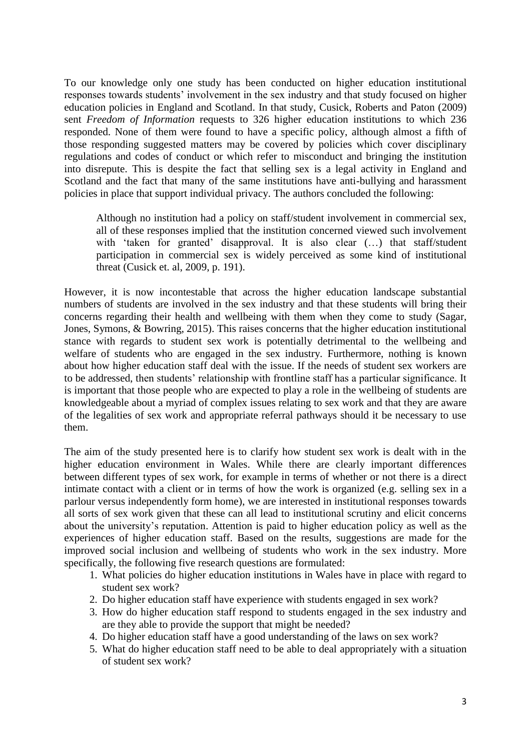To our knowledge only one study has been conducted on higher education institutional responses towards students' involvement in the sex industry and that study focused on higher education policies in England and Scotland. In that study, Cusick, Roberts and Paton (2009) sent *Freedom of Information* requests to 326 higher education institutions to which 236 responded. None of them were found to have a specific policy, although almost a fifth of those responding suggested matters may be covered by policies which cover disciplinary regulations and codes of conduct or which refer to misconduct and bringing the institution into disrepute. This is despite the fact that selling sex is a legal activity in England and Scotland and the fact that many of the same institutions have anti-bullying and harassment policies in place that support individual privacy. The authors concluded the following:

Although no institution had a policy on staff/student involvement in commercial sex, all of these responses implied that the institution concerned viewed such involvement with 'taken for granted' disapproval. It is also clear (...) that staff/student participation in commercial sex is widely perceived as some kind of institutional threat (Cusick et. al, 2009, p. 191).

However, it is now incontestable that across the higher education landscape substantial numbers of students are involved in the sex industry and that these students will bring their concerns regarding their health and wellbeing with them when they come to study (Sagar, Jones, Symons, & Bowring, 2015). This raises concerns that the higher education institutional stance with regards to student sex work is potentially detrimental to the wellbeing and welfare of students who are engaged in the sex industry. Furthermore, nothing is known about how higher education staff deal with the issue. If the needs of student sex workers are to be addressed, then students' relationship with frontline staff has a particular significance. It is important that those people who are expected to play a role in the wellbeing of students are knowledgeable about a myriad of complex issues relating to sex work and that they are aware of the legalities of sex work and appropriate referral pathways should it be necessary to use them.

The aim of the study presented here is to clarify how student sex work is dealt with in the higher education environment in Wales. While there are clearly important differences between different types of sex work, for example in terms of whether or not there is a direct intimate contact with a client or in terms of how the work is organized (e.g. selling sex in a parlour versus independently form home), we are interested in institutional responses towards all sorts of sex work given that these can all lead to institutional scrutiny and elicit concerns about the university's reputation. Attention is paid to higher education policy as well as the experiences of higher education staff. Based on the results, suggestions are made for the improved social inclusion and wellbeing of students who work in the sex industry. More specifically, the following five research questions are formulated:

- 1. What policies do higher education institutions in Wales have in place with regard to student sex work?
- 2. Do higher education staff have experience with students engaged in sex work?
- 3. How do higher education staff respond to students engaged in the sex industry and are they able to provide the support that might be needed?
- 4. Do higher education staff have a good understanding of the laws on sex work?
- 5. What do higher education staff need to be able to deal appropriately with a situation of student sex work?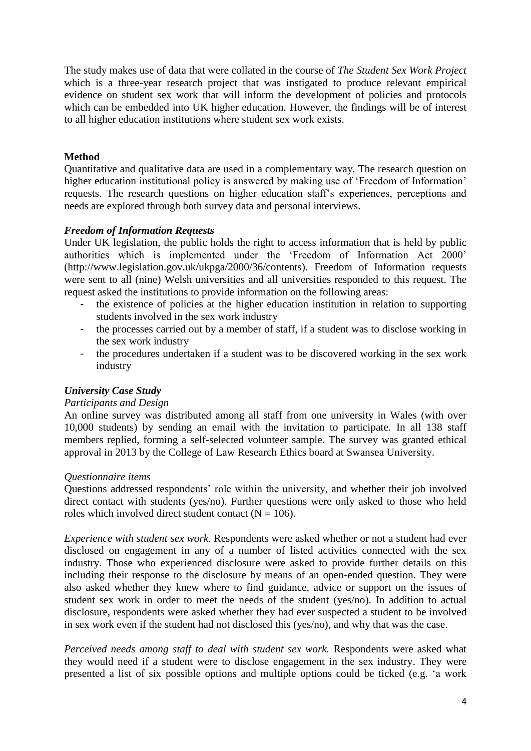The study makes use of data that were collated in the course of *The Student Sex Work Project* which is a three-year research project that was instigated to produce relevant empirical evidence on student sex work that will inform the development of policies and protocols which can be embedded into UK higher education. However, the findings will be of interest to all higher education institutions where student sex work exists.

## **Method**

Quantitative and qualitative data are used in a complementary way. The research question on higher education institutional policy is answered by making use of 'Freedom of Information' requests. The research questions on higher education staff's experiences, perceptions and needs are explored through both survey data and personal interviews.

### *Freedom of Information Requests*

Under UK legislation, the public holds the right to access information that is held by public authorities which is implemented under the 'Freedom of Information Act 2000' (http://www.legislation.gov.uk/ukpga/2000/36/contents). Freedom of Information requests were sent to all (nine) Welsh universities and all universities responded to this request. The request asked the institutions to provide information on the following areas:

- the existence of policies at the higher education institution in relation to supporting students involved in the sex work industry
- the processes carried out by a member of staff, if a student was to disclose working in the sex work industry
- the procedures undertaken if a student was to be discovered working in the sex work industry

# *University Case Study*

### *Participants and Design*

An online survey was distributed among all staff from one university in Wales (with over 10,000 students) by sending an email with the invitation to participate. In all 138 staff members replied, forming a self-selected volunteer sample. The survey was granted ethical approval in 2013 by the College of Law Research Ethics board at Swansea University.

### *Questionnaire items*

Questions addressed respondents' role within the university, and whether their job involved direct contact with students (yes/no). Further questions were only asked to those who held roles which involved direct student contact  $(N = 106)$ .

*Experience with student sex work.* Respondents were asked whether or not a student had ever disclosed on engagement in any of a number of listed activities connected with the sex industry. Those who experienced disclosure were asked to provide further details on this including their response to the disclosure by means of an open-ended question. They were also asked whether they knew where to find guidance, advice or support on the issues of student sex work in order to meet the needs of the student (yes/no). In addition to actual disclosure, respondents were asked whether they had ever suspected a student to be involved in sex work even if the student had not disclosed this (yes/no), and why that was the case.

*Perceived needs among staff to deal with student sex work.* Respondents were asked what they would need if a student were to disclose engagement in the sex industry. They were presented a list of six possible options and multiple options could be ticked (e.g. 'a work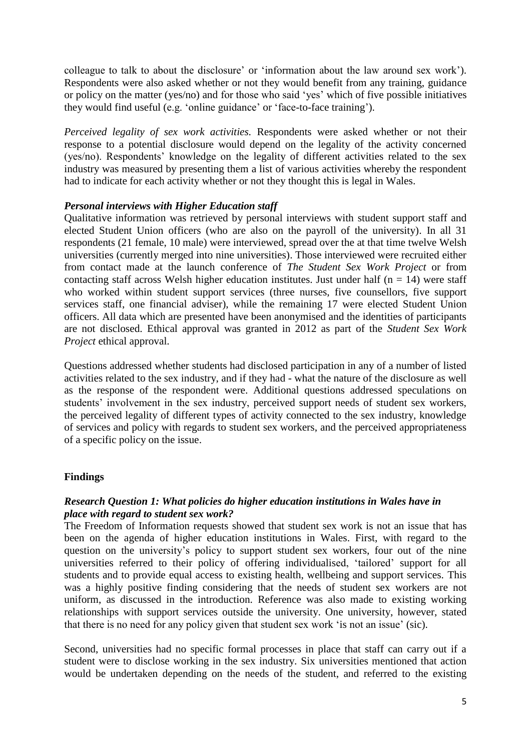colleague to talk to about the disclosure' or 'information about the law around sex work'). Respondents were also asked whether or not they would benefit from any training, guidance or policy on the matter (yes/no) and for those who said 'yes' which of five possible initiatives they would find useful (e.g. 'online guidance' or 'face-to-face training').

*Perceived legality of sex work activities.* Respondents were asked whether or not their response to a potential disclosure would depend on the legality of the activity concerned (yes/no). Respondents' knowledge on the legality of different activities related to the sex industry was measured by presenting them a list of various activities whereby the respondent had to indicate for each activity whether or not they thought this is legal in Wales.

#### *Personal interviews with Higher Education staff*

Qualitative information was retrieved by personal interviews with student support staff and elected Student Union officers (who are also on the payroll of the university). In all 31 respondents (21 female, 10 male) were interviewed, spread over the at that time twelve Welsh universities (currently merged into nine universities). Those interviewed were recruited either from contact made at the launch conference of *The Student Sex Work Project* or from contacting staff across Welsh higher education institutes. Just under half ( $n = 14$ ) were staff who worked within student support services (three nurses, five counsellors, five support services staff, one financial adviser), while the remaining 17 were elected Student Union officers. All data which are presented have been anonymised and the identities of participants are not disclosed. Ethical approval was granted in 2012 as part of the *Student Sex Work Project* ethical approval.

Questions addressed whether students had disclosed participation in any of a number of listed activities related to the sex industry, and if they had - what the nature of the disclosure as well as the response of the respondent were. Additional questions addressed speculations on students' involvement in the sex industry, perceived support needs of student sex workers, the perceived legality of different types of activity connected to the sex industry, knowledge of services and policy with regards to student sex workers, and the perceived appropriateness of a specific policy on the issue.

### **Findings**

### *Research Question 1: What policies do higher education institutions in Wales have in place with regard to student sex work?*

The Freedom of Information requests showed that student sex work is not an issue that has been on the agenda of higher education institutions in Wales. First, with regard to the question on the university's policy to support student sex workers, four out of the nine universities referred to their policy of offering individualised, 'tailored' support for all students and to provide equal access to existing health, wellbeing and support services. This was a highly positive finding considering that the needs of student sex workers are not uniform, as discussed in the introduction. Reference was also made to existing working relationships with support services outside the university. One university, however, stated that there is no need for any policy given that student sex work 'is not an issue' (sic).

Second, universities had no specific formal processes in place that staff can carry out if a student were to disclose working in the sex industry. Six universities mentioned that action would be undertaken depending on the needs of the student, and referred to the existing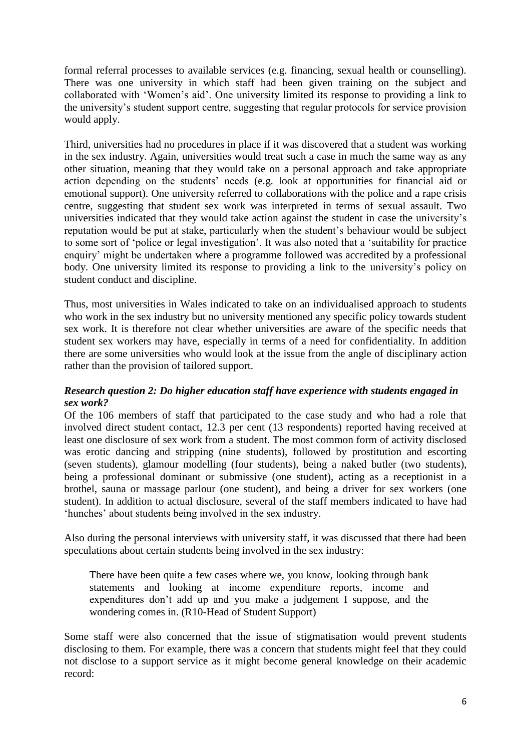formal referral processes to available services (e.g. financing, sexual health or counselling). There was one university in which staff had been given training on the subject and collaborated with 'Women's aid'. One university limited its response to providing a link to the university's student support centre, suggesting that regular protocols for service provision would apply.

Third, universities had no procedures in place if it was discovered that a student was working in the sex industry. Again, universities would treat such a case in much the same way as any other situation, meaning that they would take on a personal approach and take appropriate action depending on the students' needs (e.g. look at opportunities for financial aid or emotional support). One university referred to collaborations with the police and a rape crisis centre, suggesting that student sex work was interpreted in terms of sexual assault. Two universities indicated that they would take action against the student in case the university's reputation would be put at stake, particularly when the student's behaviour would be subject to some sort of 'police or legal investigation'. It was also noted that a 'suitability for practice enquiry' might be undertaken where a programme followed was accredited by a professional body. One university limited its response to providing a link to the university's policy on student conduct and discipline.

Thus, most universities in Wales indicated to take on an individualised approach to students who work in the sex industry but no university mentioned any specific policy towards student sex work. It is therefore not clear whether universities are aware of the specific needs that student sex workers may have, especially in terms of a need for confidentiality. In addition there are some universities who would look at the issue from the angle of disciplinary action rather than the provision of tailored support.

### *Research question 2: Do higher education staff have experience with students engaged in sex work?*

Of the 106 members of staff that participated to the case study and who had a role that involved direct student contact, 12.3 per cent (13 respondents) reported having received at least one disclosure of sex work from a student. The most common form of activity disclosed was erotic dancing and stripping (nine students), followed by prostitution and escorting (seven students), glamour modelling (four students), being a naked butler (two students), being a professional dominant or submissive (one student), acting as a receptionist in a brothel, sauna or massage parlour (one student), and being a driver for sex workers (one student). In addition to actual disclosure, several of the staff members indicated to have had 'hunches' about students being involved in the sex industry.

Also during the personal interviews with university staff, it was discussed that there had been speculations about certain students being involved in the sex industry:

There have been quite a few cases where we, you know, looking through bank statements and looking at income expenditure reports, income and expenditures don't add up and you make a judgement I suppose, and the wondering comes in. (R10-Head of Student Support)

Some staff were also concerned that the issue of stigmatisation would prevent students disclosing to them. For example, there was a concern that students might feel that they could not disclose to a support service as it might become general knowledge on their academic record: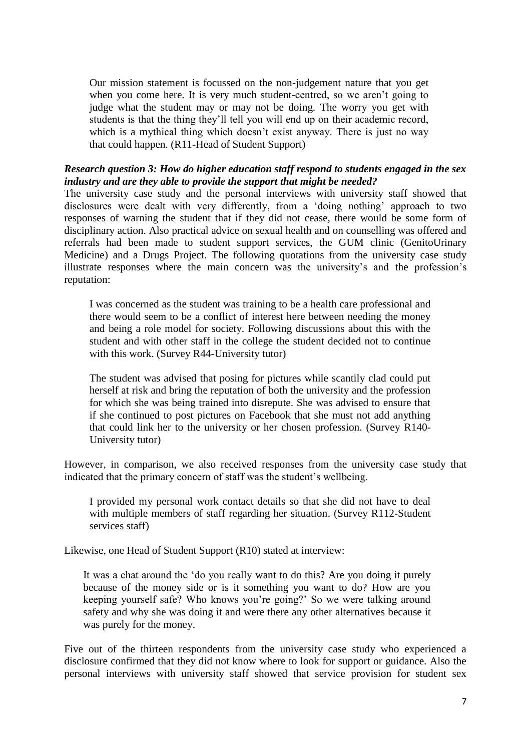Our mission statement is focussed on the non-judgement nature that you get when you come here. It is very much student-centred, so we aren't going to judge what the student may or may not be doing. The worry you get with students is that the thing they'll tell you will end up on their academic record, which is a mythical thing which doesn't exist anyway. There is just no way that could happen. (R11-Head of Student Support)

#### *Research question 3: How do higher education staff respond to students engaged in the sex industry and are they able to provide the support that might be needed?*

The university case study and the personal interviews with university staff showed that disclosures were dealt with very differently, from a 'doing nothing' approach to two responses of warning the student that if they did not cease, there would be some form of disciplinary action. Also practical advice on sexual health and on counselling was offered and referrals had been made to student support services, the GUM clinic (GenitoUrinary Medicine) and a Drugs Project. The following quotations from the university case study illustrate responses where the main concern was the university's and the profession's reputation:

I was concerned as the student was training to be a health care professional and there would seem to be a conflict of interest here between needing the money and being a role model for society. Following discussions about this with the student and with other staff in the college the student decided not to continue with this work. (Survey R44-University tutor)

The student was advised that posing for pictures while scantily clad could put herself at risk and bring the reputation of both the university and the profession for which she was being trained into disrepute. She was advised to ensure that if she continued to post pictures on Facebook that she must not add anything that could link her to the university or her chosen profession. (Survey R140- University tutor)

However, in comparison, we also received responses from the university case study that indicated that the primary concern of staff was the student's wellbeing.

I provided my personal work contact details so that she did not have to deal with multiple members of staff regarding her situation. (Survey R112-Student services staff)

Likewise, one Head of Student Support (R10) stated at interview:

It was a chat around the 'do you really want to do this? Are you doing it purely because of the money side or is it something you want to do? How are you keeping yourself safe? Who knows you're going?' So we were talking around safety and why she was doing it and were there any other alternatives because it was purely for the money.

Five out of the thirteen respondents from the university case study who experienced a disclosure confirmed that they did not know where to look for support or guidance. Also the personal interviews with university staff showed that service provision for student sex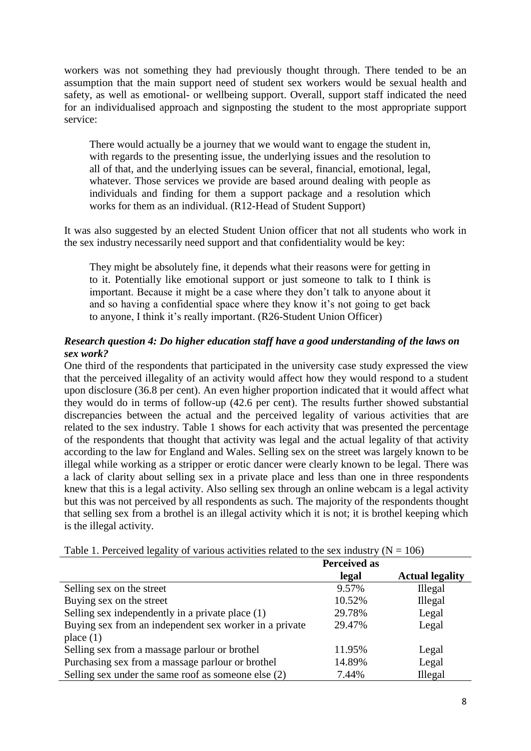workers was not something they had previously thought through. There tended to be an assumption that the main support need of student sex workers would be sexual health and safety, as well as emotional- or wellbeing support. Overall, support staff indicated the need for an individualised approach and signposting the student to the most appropriate support service:

There would actually be a journey that we would want to engage the student in, with regards to the presenting issue, the underlying issues and the resolution to all of that, and the underlying issues can be several, financial, emotional, legal, whatever. Those services we provide are based around dealing with people as individuals and finding for them a support package and a resolution which works for them as an individual. (R12-Head of Student Support)

It was also suggested by an elected Student Union officer that not all students who work in the sex industry necessarily need support and that confidentiality would be key:

They might be absolutely fine, it depends what their reasons were for getting in to it. Potentially like emotional support or just someone to talk to I think is important. Because it might be a case where they don't talk to anyone about it and so having a confidential space where they know it's not going to get back to anyone, I think it's really important. (R26-Student Union Officer)

#### *Research question 4: Do higher education staff have a good understanding of the laws on sex work?*

One third of the respondents that participated in the university case study expressed the view that the perceived illegality of an activity would affect how they would respond to a student upon disclosure (36.8 per cent). An even higher proportion indicated that it would affect what they would do in terms of follow-up (42.6 per cent). The results further showed substantial discrepancies between the actual and the perceived legality of various activities that are related to the sex industry. Table 1 shows for each activity that was presented the percentage of the respondents that thought that activity was legal and the actual legality of that activity according to the law for England and Wales. Selling sex on the street was largely known to be illegal while working as a stripper or erotic dancer were clearly known to be legal. There was a lack of clarity about selling sex in a private place and less than one in three respondents knew that this is a legal activity. Also selling sex through an online webcam is a legal activity but this was not perceived by all respondents as such. The majority of the respondents thought that selling sex from a brothel is an illegal activity which it is not; it is brothel keeping which is the illegal activity.

|                                                        | <b>Perceived as</b> |                        |
|--------------------------------------------------------|---------------------|------------------------|
|                                                        | legal               | <b>Actual legality</b> |
| Selling sex on the street                              | 9.57%               | Illegal                |
| Buying sex on the street                               | 10.52%              | Illegal                |
| Selling sex independently in a private place (1)       | 29.78%              | Legal                  |
| Buying sex from an independent sex worker in a private | 29.47%              | Legal                  |
| place $(1)$                                            |                     |                        |
| Selling sex from a massage parlour or brothel          | 11.95%              | Legal                  |
| Purchasing sex from a massage parlour or brothel       | 14.89%              | Legal                  |
| Selling sex under the same roof as someone else (2)    | 7.44%               | Illegal                |

Table 1. Perceived legality of various activities related to the sex industry ( $N = 106$ )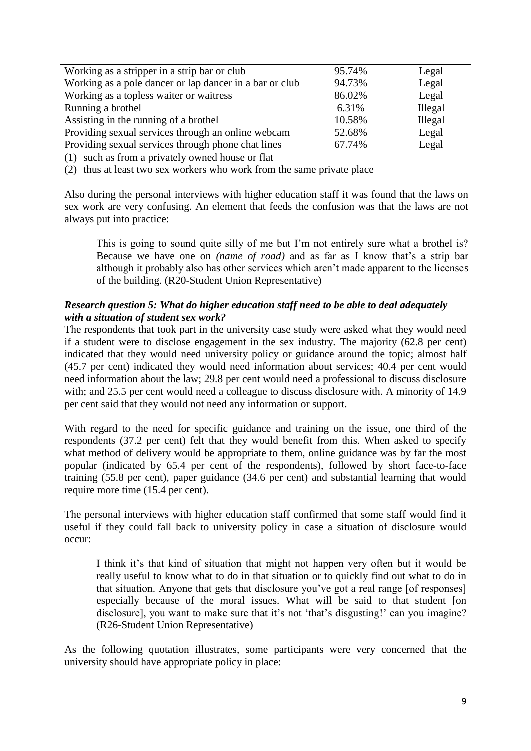| Working as a stripper in a strip bar or club            | 95.74% | Legal   |
|---------------------------------------------------------|--------|---------|
| Working as a pole dancer or lap dancer in a bar or club | 94.73% | Legal   |
| Working as a topless waiter or waitress                 | 86.02% | Legal   |
| Running a brothel                                       | 6.31%  | Illegal |
| Assisting in the running of a brothel                   | 10.58% | Illegal |
| Providing sexual services through an online webcam      | 52.68% | Legal   |
| Providing sexual services through phone chat lines      | 67.74% | Legal   |

(1) such as from a privately owned house or flat

(2) thus at least two sex workers who work from the same private place

Also during the personal interviews with higher education staff it was found that the laws on sex work are very confusing. An element that feeds the confusion was that the laws are not always put into practice:

This is going to sound quite silly of me but I'm not entirely sure what a brothel is? Because we have one on *(name of road)* and as far as I know that's a strip bar although it probably also has other services which aren't made apparent to the licenses of the building. (R20-Student Union Representative)

#### *Research question 5: What do higher education staff need to be able to deal adequately with a situation of student sex work?*

The respondents that took part in the university case study were asked what they would need if a student were to disclose engagement in the sex industry. The majority (62.8 per cent) indicated that they would need university policy or guidance around the topic; almost half (45.7 per cent) indicated they would need information about services; 40.4 per cent would need information about the law; 29.8 per cent would need a professional to discuss disclosure with; and 25.5 per cent would need a colleague to discuss disclosure with. A minority of 14.9 per cent said that they would not need any information or support.

With regard to the need for specific guidance and training on the issue, one third of the respondents (37.2 per cent) felt that they would benefit from this. When asked to specify what method of delivery would be appropriate to them, online guidance was by far the most popular (indicated by 65.4 per cent of the respondents), followed by short face-to-face training (55.8 per cent), paper guidance (34.6 per cent) and substantial learning that would require more time (15.4 per cent).

The personal interviews with higher education staff confirmed that some staff would find it useful if they could fall back to university policy in case a situation of disclosure would occur:

I think it's that kind of situation that might not happen very often but it would be really useful to know what to do in that situation or to quickly find out what to do in that situation. Anyone that gets that disclosure you've got a real range [of responses] especially because of the moral issues. What will be said to that student [on disclosure], you want to make sure that it's not 'that's disgusting!' can you imagine? (R26-Student Union Representative)

As the following quotation illustrates, some participants were very concerned that the university should have appropriate policy in place: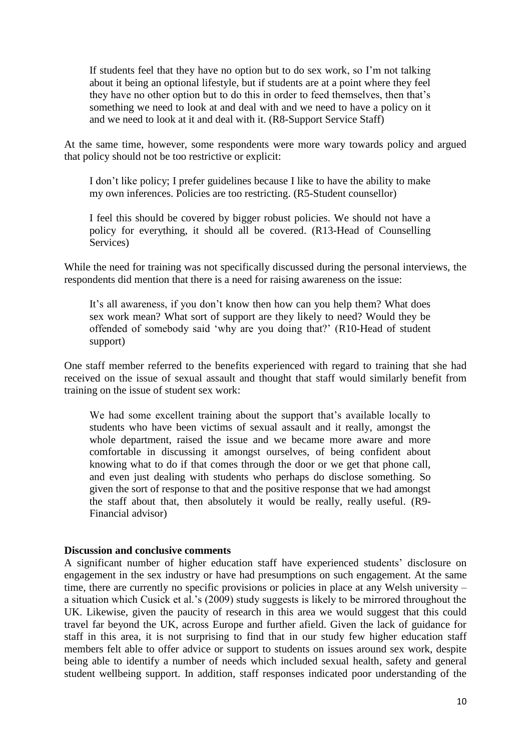If students feel that they have no option but to do sex work, so I'm not talking about it being an optional lifestyle, but if students are at a point where they feel they have no other option but to do this in order to feed themselves, then that's something we need to look at and deal with and we need to have a policy on it and we need to look at it and deal with it. (R8-Support Service Staff)

At the same time, however, some respondents were more wary towards policy and argued that policy should not be too restrictive or explicit:

I don't like policy; I prefer guidelines because I like to have the ability to make my own inferences. Policies are too restricting. (R5-Student counsellor)

I feel this should be covered by bigger robust policies. We should not have a policy for everything, it should all be covered. (R13-Head of Counselling Services)

While the need for training was not specifically discussed during the personal interviews, the respondents did mention that there is a need for raising awareness on the issue:

It's all awareness, if you don't know then how can you help them? What does sex work mean? What sort of support are they likely to need? Would they be offended of somebody said 'why are you doing that?' (R10-Head of student support)

One staff member referred to the benefits experienced with regard to training that she had received on the issue of sexual assault and thought that staff would similarly benefit from training on the issue of student sex work:

We had some excellent training about the support that's available locally to students who have been victims of sexual assault and it really, amongst the whole department, raised the issue and we became more aware and more comfortable in discussing it amongst ourselves, of being confident about knowing what to do if that comes through the door or we get that phone call, and even just dealing with students who perhaps do disclose something. So given the sort of response to that and the positive response that we had amongst the staff about that, then absolutely it would be really, really useful. (R9- Financial advisor)

#### **Discussion and conclusive comments**

A significant number of higher education staff have experienced students' disclosure on engagement in the sex industry or have had presumptions on such engagement. At the same time, there are currently no specific provisions or policies in place at any Welsh university – a situation which Cusick et al.'s (2009) study suggests is likely to be mirrored throughout the UK. Likewise, given the paucity of research in this area we would suggest that this could travel far beyond the UK, across Europe and further afield. Given the lack of guidance for staff in this area, it is not surprising to find that in our study few higher education staff members felt able to offer advice or support to students on issues around sex work, despite being able to identify a number of needs which included sexual health, safety and general student wellbeing support. In addition, staff responses indicated poor understanding of the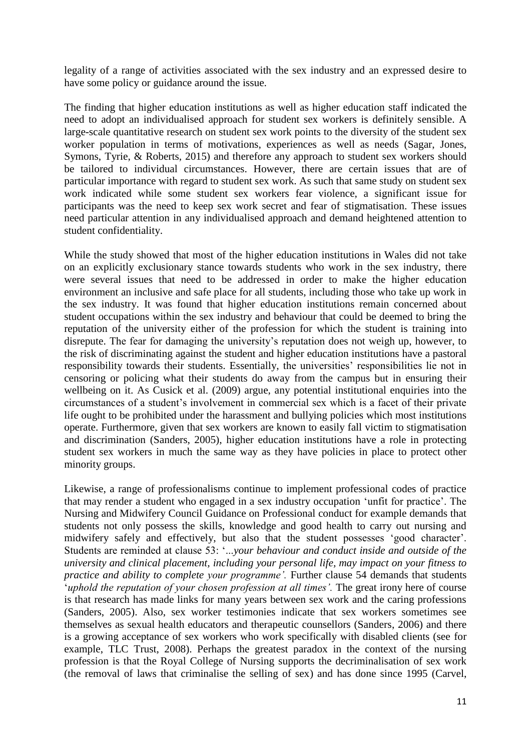legality of a range of activities associated with the sex industry and an expressed desire to have some policy or guidance around the issue.

The finding that higher education institutions as well as higher education staff indicated the need to adopt an individualised approach for student sex workers is definitely sensible. A large-scale quantitative research on student sex work points to the diversity of the student sex worker population in terms of motivations, experiences as well as needs (Sagar, Jones, Symons, Tyrie, & Roberts, 2015) and therefore any approach to student sex workers should be tailored to individual circumstances. However, there are certain issues that are of particular importance with regard to student sex work. As such that same study on student sex work indicated while some student sex workers fear violence, a significant issue for participants was the need to keep sex work secret and fear of stigmatisation. These issues need particular attention in any individualised approach and demand heightened attention to student confidentiality.

While the study showed that most of the higher education institutions in Wales did not take on an explicitly exclusionary stance towards students who work in the sex industry, there were several issues that need to be addressed in order to make the higher education environment an inclusive and safe place for all students, including those who take up work in the sex industry. It was found that higher education institutions remain concerned about student occupations within the sex industry and behaviour that could be deemed to bring the reputation of the university either of the profession for which the student is training into disrepute. The fear for damaging the university's reputation does not weigh up, however, to the risk of discriminating against the student and higher education institutions have a pastoral responsibility towards their students. Essentially, the universities' responsibilities lie not in censoring or policing what their students do away from the campus but in ensuring their wellbeing on it. As Cusick et al. (2009) argue, any potential institutional enquiries into the circumstances of a student's involvement in commercial sex which is a facet of their private life ought to be prohibited under the harassment and bullying policies which most institutions operate. Furthermore, given that sex workers are known to easily fall victim to stigmatisation and discrimination (Sanders, 2005), higher education institutions have a role in protecting student sex workers in much the same way as they have policies in place to protect other minority groups.

Likewise, a range of professionalisms continue to implement professional codes of practice that may render a student who engaged in a sex industry occupation 'unfit for practice'. The Nursing and Midwifery Council Guidance on Professional conduct for example demands that students not only possess the skills, knowledge and good health to carry out nursing and midwifery safely and effectively, but also that the student possesses 'good character'. Students are reminded at clause 53: '...*your behaviour and conduct inside and outside of the university and clinical placement, including your personal life, may impact on your fitness to practice and ability to complete your programme'.* Further clause 54 demands that students '*uphold the reputation of your chosen profession at all times'.* The great irony here of course is that research has made links for many years between sex work and the caring professions (Sanders, 2005). Also, sex worker testimonies indicate that sex workers sometimes see themselves as sexual health educators and therapeutic counsellors (Sanders, 2006) and there is a growing acceptance of sex workers who work specifically with disabled clients (see for example, TLC Trust, 2008). Perhaps the greatest paradox in the context of the nursing profession is that the Royal College of Nursing supports the decriminalisation of sex work (the removal of laws that criminalise the selling of sex) and has done since 1995 (Carvel,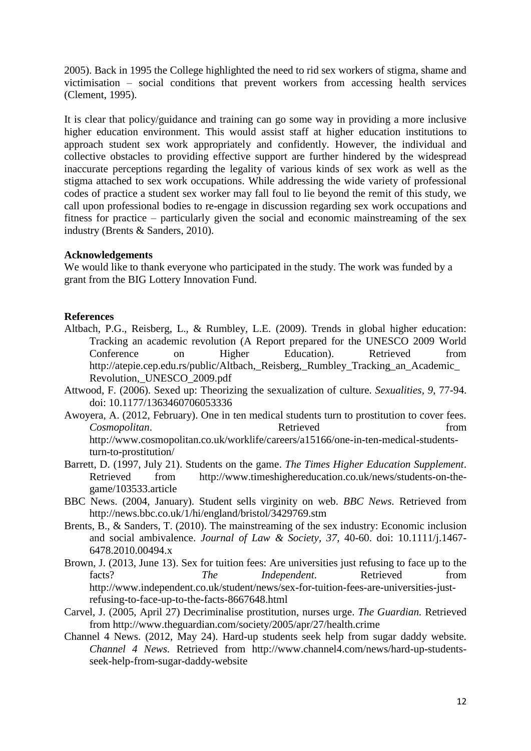2005). Back in 1995 the College highlighted the need to rid sex workers of stigma, shame and victimisation – social conditions that prevent workers from accessing health services (Clement, 1995).

It is clear that policy/guidance and training can go some way in providing a more inclusive higher education environment. This would assist staff at higher education institutions to approach student sex work appropriately and confidently. However, the individual and collective obstacles to providing effective support are further hindered by the widespread inaccurate perceptions regarding the legality of various kinds of sex work as well as the stigma attached to sex work occupations. While addressing the wide variety of professional codes of practice a student sex worker may fall foul to lie beyond the remit of this study, we call upon professional bodies to re-engage in discussion regarding sex work occupations and fitness for practice – particularly given the social and economic mainstreaming of the sex industry (Brents & Sanders, 2010).

#### **Acknowledgements**

We would like to thank everyone who participated in the study. The work was funded by a grant from the BIG Lottery Innovation Fund.

#### **References**

- Altbach, P.G., Reisberg, L., & Rumbley, L.E. (2009). Trends in global higher education: Tracking an academic revolution (A Report prepared for the UNESCO 2009 World Conference on Higher Education). Retrieved from http://atepie.cep.edu.rs/public/Altbach, Reisberg, Rumbley Tracking an Academic Revolution,\_UNESCO\_2009.pdf
- Attwood, F. (2006). Sexed up: Theorizing the sexualization of culture. *Sexualities, 9*, 77-94. doi: 10.1177/1363460706053336
- Awoyera, A. (2012, February). One in ten medical students turn to prostitution to cover fees. *Cosmopolitan.* Retrieved from http://www.cosmopolitan.co.uk/worklife/careers/a15166/one-in-ten-medical-studentsturn-to-prostitution/
- Barrett, D. (1997, July 21). Students on the game. *The Times Higher Education Supplement*. Retrieved from http://www.timeshighereducation.co.uk/news/students-on-thegame/103533.article
- BBC News. (2004, January). Student sells virginity on web. *BBC News.* Retrieved from http://news.bbc.co.uk/1/hi/england/bristol/3429769.stm
- Brents, B., & Sanders, T. (2010). The mainstreaming of the sex industry: Economic inclusion and social ambivalence. *Journal of Law & Society, 37*, 40-60. doi: 10.1111/j.1467- 6478.2010.00494.x
- Brown, J. (2013, June 13). Sex for tuition fees: Are universities just refusing to face up to the facts? *The Independent*. Retrieved from http://www.independent.co.uk/student/news/sex-for-tuition-fees-are-universities-justrefusing-to-face-up-to-the-facts-8667648.html
- Carvel, J. (2005, April 27) Decriminalise prostitution, nurses urge. *The Guardian.* Retrieved from http://www.theguardian.com/society/2005/apr/27/health.crime
- Channel 4 News. (2012, May 24). Hard-up students seek help from sugar daddy website. *Channel 4 News.* Retrieved from http://www.channel4.com/news/hard-up-studentsseek-help-from-sugar-daddy-website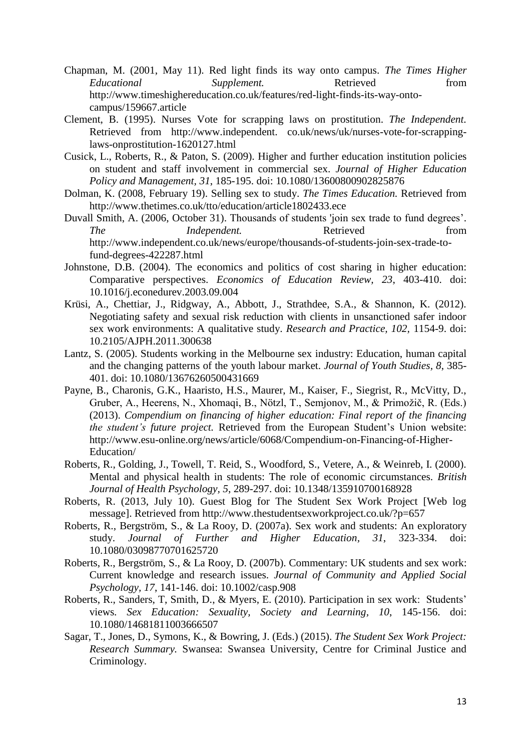- Chapman, M. (2001, May 11). Red light finds its way onto campus. *The Times Higher Educational Supplement.* Retrieved from http://www.timeshighereducation.co.uk/features/red-light-finds-its-way-ontocampus/159667.article
- Clement, B. (1995). Nurses Vote for scrapping laws on prostitution. *The Independent.* Retrieved from http://www.independent. co.uk/news/uk/nurses-vote-for-scrappinglaws-onprostitution-1620127.html
- Cusick, L., Roberts, R., & Paton, S. (2009). Higher and further education institution policies on student and staff involvement in commercial sex. *Journal of Higher Education Policy and Management, 31*, 185-195. doi: 10.1080/13600800902825876
- Dolman, K. (2008, February 19). Selling sex to study. *The Times Education.* Retrieved from http://www.thetimes.co.uk/tto/education/article1802433.ece
- Duvall Smith, A. (2006, October 31). Thousands of students 'join sex trade to fund degrees'. *The Independent.* Retrieved from http://www.independent.co.uk/news/europe/thousands-of-students-join-sex-trade-tofund-degrees-422287.html
- Johnstone, D.B. (2004). The economics and politics of cost sharing in higher education: Comparative perspectives. *Economics of Education Review, 23*, 403-410. doi: 10.1016/j.econedurev.2003.09.004
- Krüsi, A., Chettiar, J., Ridgway, A., Abbott, J., Strathdee, S.A., & Shannon, K. (2012). Negotiating safety and sexual risk reduction with clients in unsanctioned safer indoor sex work environments: A qualitative study. *Research and Practice, 102,* 1154-9. doi: 10.2105/AJPH.2011.300638
- Lantz, S. (2005). Students working in the Melbourne sex industry: Education, human capital and the changing patterns of the youth labour market. *Journal of Youth Studies, 8*, 385- 401. doi: 10.1080/13676260500431669
- Payne, B., Charonis, G.K., Haaristo, H.S., Maurer, M., Kaiser, F., Siegrist, R., McVitty, D., Gruber, A., Heerens, N., Xhomaqi, B., Nӧtzl, T., Semjonov, M., & Primožič, R. (Eds.) (2013). *Compendium on financing of higher education: Final report of the financing the student's future project.* Retrieved from the European Student's Union website: http://www.esu-online.org/news/article/6068/Compendium-on-Financing-of-Higher-Education/
- Roberts, R., Golding, J., Towell, T. Reid, S., Woodford, S., Vetere, A., & Weinreb, I. (2000). Mental and physical health in students: The role of economic circumstances. *British Journal of Health Psychology, 5*, 289-297. doi: 10.1348/135910700168928
- Roberts, R. (2013, July 10). Guest Blog for The Student Sex Work Project [Web log message]. Retrieved from http://www.thestudentsexworkproject.co.uk/?p=657
- Roberts, R., Bergström, S., & La Rooy, D. (2007a). Sex work and students: An exploratory study. *Journal of Further and Higher Education, 31*, 323-334. doi: 10.1080/03098770701625720
- Roberts, R., Bergström, S., & La Rooy, D. (2007b). Commentary: UK students and sex work: Current knowledge and research issues. *Journal of Community and Applied Social Psychology, 17*, 141-146. doi: 10.1002/casp.908
- Roberts, R., Sanders, T, Smith, D., & Myers, E. (2010). Participation in sex work: Students' views*. Sex Education: Sexuality, Society and Learning, 10*, 145-156. doi: 10.1080/14681811003666507
- Sagar, T., Jones, D., Symons, K., & Bowring, J. (Eds.) (2015). *The Student Sex Work Project: Research Summary.* Swansea: Swansea University, Centre for Criminal Justice and Criminology.